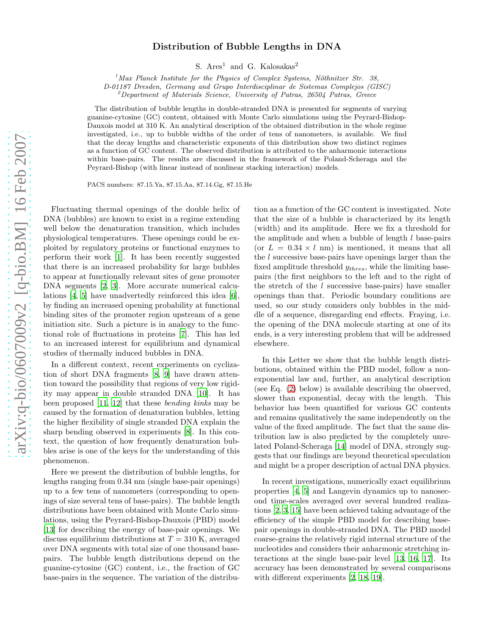## Distribution of Bubble Lengths in DNA

S.  $Area<sup>1</sup>$  and G. Kalosakas<sup>2</sup>

 $<sup>1</sup>$ Max Planck Institute for the Physics of Complex Systems, Nöthnitzer Str. 38,</sup>

D-01187 Dresden, Germany and Grupo Interdisciplinar de Sistemas Complejos (GISC)

 $2D$ epartment of Materials Science, University of Patras, 26504 Patras, Greece

The distribution of bubble lengths in double-stranded DNA is presented for segments of varying guanine-cytosine (GC) content, obtained with Monte Carlo simulations using the Peyrard-Bishop-Dauxois model at 310 K. An analytical description of the obtained distribution in the whole regime investigated, i.e., up to bubble widths of the order of tens of nanometers, is available. We find that the decay lengths and characteristic exponents of this distribution show two distinct regimes as a function of GC content. The observed distribution is attributed to the anharmonic interactions within base-pairs. The results are discussed in the framework of the Poland-Scheraga and the Peyrard-Bishop (with linear instead of nonlinear stacking interaction) models.

PACS numbers: 87.15.Ya, 87.15.Aa, 87.14.Gg, 87.15.He

Fluctuating thermal openings of the double helix of DNA (bubbles) are known to exist in a regime extending well below the denaturation transition, which includes physiological temperatures. These openings could be exploited by regulatory proteins or functional enzymes to perform their work [\[1\]](#page-4-0). It has been recently suggested that there is an increased probability for large bubbles to appear at functionally relevant sites of gene promoter DNA segments [\[2,](#page-4-1) [3](#page-4-2)]. More accurate numerical calculations [\[4,](#page-4-3) [5](#page-4-4)] have unadvertedly reinforced this idea [\[6\]](#page-4-5), by finding an increased opening probability at functional binding sites of the promoter region upstream of a gene initiation site. Such a picture is in analogy to the functional role of fluctuations in proteins [\[7\]](#page-4-6). This has led to an increased interest for equilibrium and dynamical studies of thermally induced bubbles in DNA.

In a different context, recent experiments on cyclization of short DNA fragments [\[8](#page-4-7), [9\]](#page-4-8) have drawn attention toward the possibility that regions of very low rigidity may appear in double stranded DNA [\[10\]](#page-4-9). It has been proposed [\[11,](#page-4-10) [12](#page-4-11)] that these bending kinks may be caused by the formation of denaturation bubbles, letting the higher flexibility of single stranded DNA explain the sharp bending observed in experiments [\[8](#page-4-7)]. In this context, the question of how frequently denaturation bubbles arise is one of the keys for the understanding of this phenomenon.

Here we present the distribution of bubble lengths, for lengths ranging from 0.34 nm (single base-pair openings) up to a few tens of nanometers (corresponding to openings of size several tens of base-pairs). The bubble length distributions have been obtained with Monte Carlo simulations, using the Peyrard-Bishop-Dauxois (PBD) model [\[13\]](#page-4-12) for describing the energy of base-pair openings. We discuss equilibrium distributions at  $T = 310$  K, averaged over DNA segments with total size of one thousand basepairs. The bubble length distributions depend on the guanine-cytosine (GC) content, i.e., the fraction of GC base-pairs in the sequence. The variation of the distribu-

tion as a function of the GC content is investigated. Note that the size of a bubble is characterized by its length (width) and its amplitude. Here we fix a threshold for the amplitude and when a bubble of length  $l$  base-pairs (or  $L = 0.34 \times l$  nm) is mentioned, it means that all the l successive base-pairs have openings larger than the fixed amplitude threshold  $y_{thres}$ , while the limiting basepairs (the first neighbors to the left and to the right of the stretch of the  $l$  successive base-pairs) have smaller openings than that. Periodic boundary conditions are used, so our study considers only bubbles in the middle of a sequence, disregarding end effects. Fraying, i.e. the opening of the DNA molecule starting at one of its ends, is a very interesting problem that will be addressed elsewhere.

In this Letter we show that the bubble length distributions, obtained within the PBD model, follow a nonexponential law and, further, an analytical description (see Eq. [\(2\)](#page-1-0) below) is available describing the observed, slower than exponential, decay with the length. This behavior has been quantified for various GC contents and remains qualitatively the same independently on the value of the fixed amplitude. The fact that the same distribution law is also predicted by the completely unrelated Poland-Scheraga [\[14](#page-4-13)] model of DNA, strongly suggests that our findings are beyond theoretical speculation and might be a proper description of actual DNA physics.

In recent investigations, numerically exact equilibrium properties [\[4](#page-4-3), [5\]](#page-4-4) and Langevin dynamics up to nanosecond time-scales averaged over several hundred realizations [\[2](#page-4-1), [3](#page-4-2), [15\]](#page-4-14) have been achieved taking advantage of the efficiency of the simple PBD model for describing basepair openings in double-stranded DNA. The PBD model coarse-grains the relatively rigid internal structure of the nucleotides and considers their anharmonic stretching interactions at the single base-pair level [\[13,](#page-4-12) [16,](#page-4-15) [17\]](#page-4-16). Its accuracy has been demonstrated by several comparisons with different experiments [\[2,](#page-4-1) [18,](#page-4-17) [19\]](#page-4-18).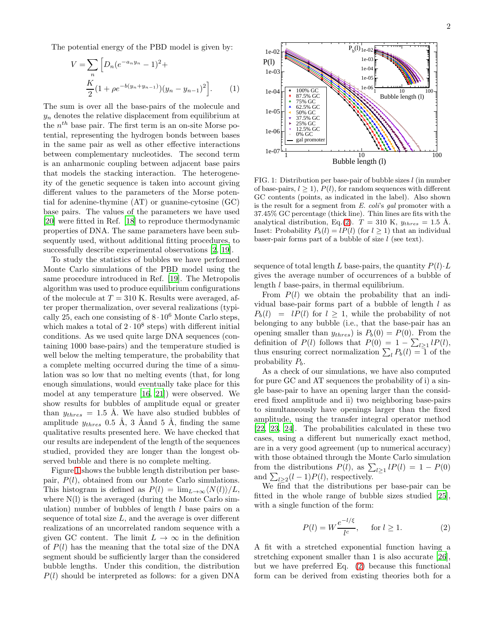The potential energy of the PBD model is given by:

$$
V = \sum_{n} \left[ D_n (e^{-a_n y_n} - 1)^2 + \frac{K}{2} (1 + \rho e^{-b(y_n + y_{n-1})}) (y_n - y_{n-1})^2 \right].
$$
 (1)

The sum is over all the base-pairs of the molecule and  $y_n$  denotes the relative displacement from equilibrium at the  $n^{th}$  base pair. The first term is an on-site Morse potential, representing the hydrogen bonds between bases in the same pair as well as other effective interactions between complementary nucleotides. The second term is an anharmonic coupling between adjacent base pairs that models the stacking interaction. The heterogeneity of the genetic sequence is taken into account giving different values to the parameters of the Morse potential for adenine-thymine (AT) or guanine-cytosine (GC) base pairs. The values of the parameters we have used [\[20\]](#page-4-19) were fitted in Ref. [\[18\]](#page-4-17) to reproduce thermodynamic properties of DNA. The same parameters have been subsequently used, without additional fitting procedures, to successfully describe experimental observations [\[2,](#page-4-1) [19](#page-4-18)].

To study the statistics of bubbles we have performed Monte Carlo simulations of the PBD model using the same procedure introduced in Ref. [\[19\]](#page-4-18). The Metropolis algorithm was used to produce equilibrium configurations of the molecule at  $T = 310$  K. Results were averaged, after proper thermalization, over several realizations (typically 25, each one consisting of  $8 \cdot 10^6$  Monte Carlo steps, which makes a total of  $2 \cdot 10^8$  steps) with different initial conditions. As we used quite large DNA sequences (containing 1000 base-pairs) and the temperature studied is well below the melting temperature, the probability that a complete melting occurred during the time of a simulation was so low that no melting events (that, for long enough simulations, would eventually take place for this model at any temperature [\[16,](#page-4-15) [21\]](#page-4-20)) were observed. We show results for bubbles of amplitude equal or greater than  $y_{thres} = 1.5$  Å. We have also studied bubbles of amplitude  $y_{thres}$  0.5 Å, 3 Åand 5 Å, finding the same qualitative results presented here. We have checked that our results are independent of the length of the sequences studied, provided they are longer than the longest observed bubble and there is no complete melting.

Figure [1](#page-1-1) shows the bubble length distribution per basepair,  $P(l)$ , obtained from our Monte Carlo simulations. This histogram is defined as  $P(l) = \lim_{L\to\infty} \langle N(l)\rangle/L$ , where N(l) is the averaged (during the Monte Carlo simulation) number of bubbles of length  $l$  base pairs on a sequence of total size  $L$ , and the average is over different realizations of an uncorrelated random sequence with a given GC content. The limit  $L \to \infty$  in the definition of  $P(l)$  has the meaning that the total size of the DNA segment should be sufficiently larger than the considered bubble lengths. Under this condition, the distribution  $P(l)$  should be interpreted as follows: for a given DNA

<span id="page-1-2"></span>

<span id="page-1-1"></span>FIG. 1: Distribution per base-pair of bubble sizes l (in number of base-pairs,  $l > 1$ ,  $P(l)$ , for random sequences with different GC contents (points, as indicated in the label). Also shown is the result for a segment from E. coli's gal promoter with a 37.45% GC percentage (thick line). Thin lines are fits with the analytical distribution, Eq.[\(2\)](#page-1-0).  $T = 310 \text{ K}$ ,  $y_{thres} = 1.5 \text{ Å}$ . Inset: Probability  $P_b(l) = lP(l)$  (for  $l \ge 1$ ) that an individual baser-pair forms part of a bubble of size  $l$  (see text).

sequence of total length L base-pairs, the quantity  $P(l) \cdot L$ gives the average number of occurrences of a bubble of length l base-pairs, in thermal equilibrium.

From  $P(l)$  we obtain the probability that an individual base-pair forms part of a bubble of length  $l$  as  $P_b(l) = lP(l)$  for  $l \geq 1$ , while the probability of not belonging to any bubble (i.e., that the base-pair has an opening smaller than  $y_{thres}$  is  $P_b(0) = P(0)$ . From the definition of  $P(l)$  follows that  $P(0) = 1 - \sum_{l \geq 1} l P(l)$ , thus ensuring correct normalization  $\sum_l P_b(l) = 1$  of the probability  $P_b$ .

As a check of our simulations, we have also computed for pure GC and AT sequences the probability of i) a single base-pair to have an opening larger than the considered fixed amplitude and ii) two neighboring base-pairs to simultaneously have openings larger than the fixed amplitude, using the transfer integral operator method [\[22,](#page-4-21) [23,](#page-4-22) [24\]](#page-4-23). The probabilities calculated in these two cases, using a different but numerically exact method, are in a very good agreement (up to numerical accuracy) with those obtained through the Monte Carlo simulation from the distributions  $P(l)$ , as  $\sum_{l\geq 1} lP(l) = 1 - P(0)$ and  $\sum_{l\geq 2}(l-1)P(l)$ , respectively.

We find that the distributions per base-pair can be fitted in the whole range of bubble sizes studied [\[25\]](#page-4-24), with a single function of the form:

<span id="page-1-0"></span>
$$
P(l) = W \frac{e^{-l/\xi}}{l^c}, \quad \text{for } l \ge 1.
$$
 (2)

A fit with a stretched exponential function having a stretching exponent smaller than 1 is also accurate [\[26\]](#page-4-25), but we have preferred Eq. [\(2\)](#page-1-0) because this functional form can be derived from existing theories both for a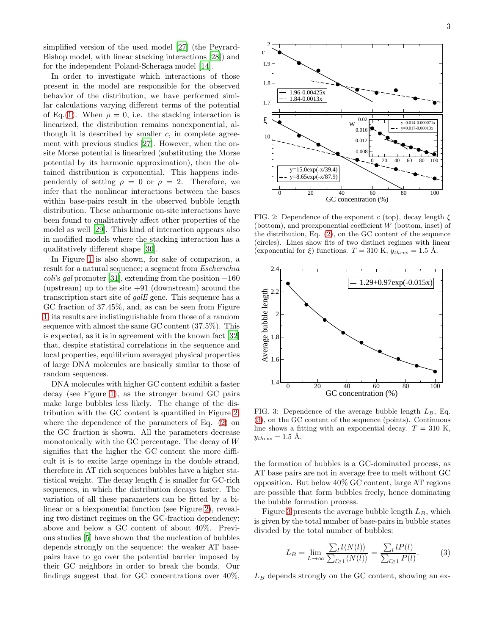simplified version of the used model [\[27](#page-4-26)] (the Peyrard-Bishop model, with linear stacking interactions [\[28](#page-4-27)]) and for the independent Poland-Scheraga model [\[14\]](#page-4-13).

In order to investigate which interactions of those present in the model are responsible for the observed behavior of the distribution, we have performed similar calculations varying different terms of the potential of Eq.[\(1\)](#page-1-2). When  $\rho = 0$ , i.e. the stacking interaction is linearized, the distribution remains nonexponential, although it is described by smaller  $c$ , in complete agreement with previous studies [\[27](#page-4-26)]. However, when the onsite Morse potential is linearized (substituting the Morse potential by its harmonic approximation), then the obtained distribution is exponential. This happens independently of setting  $\rho = 0$  or  $\rho = 2$ . Therefore, we infer that the nonlinear interactions between the bases within base-pairs result in the observed bubble length distribution. These anharmonic on-site interactions have been found to qualitatively affect other properties of the model as well [\[29\]](#page-4-28). This kind of interaction appears also in modified models where the stacking interaction has a qualitatively different shape [\[30\]](#page-4-29).

In Figure [1](#page-1-1) is also shown, for sake of comparison, a result for a natural sequence; a segment from Escherichia coli's gal promoter [\[31\]](#page-4-30), extending from the position  $-160$ (upstream) up to the site  $+91$  (downstream) around the transcription start site of galE gene. This sequence has a GC fraction of 37.45%, and, as can be seen from Figure [1,](#page-1-1) its results are indistinguishable from those of a random sequence with almost the same GC content (37.5%). This is expected, as it is in agreement with the known fact [\[32](#page-4-31)] that, despite statistical correlations in the sequence and local properties, equilibrium averaged physical properties of large DNA molecules are basically similar to those of random sequences.

DNA molecules with higher GC content exhibit a faster decay (see Figure [1\)](#page-1-1), as the stronger bound GC pairs make large bubbles less likely. The change of the distribution with the GC content is quantified in Figure [2,](#page-2-0) where the dependence of the parameters of Eq. [\(2\)](#page-1-0) on the GC fraction is shown. All the parameters decrease monotonically with the GC percentage. The decay of W signifies that the higher the GC content the more difficult it is to excite large openings in the double strand, therefore in AT rich sequences bubbles have a higher statistical weight. The decay length  $\xi$  is smaller for GC-rich sequences, in which the distribution decays faster. The variation of all these parameters can be fitted by a bilinear or a biexponential function (see Figure [2\)](#page-2-0), revealing two distinct regimes on the GC-fraction dependency: above and below a GC content of about 40%. Previous studies [\[5\]](#page-4-4) have shown that the nucleation of bubbles depends strongly on the sequence: the weaker AT basepairs have to go over the potential barrier imposed by their GC neighbors in order to break the bonds. Our findings suggest that for GC concentrations over 40%,



<span id="page-2-0"></span>FIG. 2: Dependence of the exponent c (top), decay length  $\xi$ (bottom), and preexponential coefficient W (bottom, inset) of the distribution, Eq. [\(2\)](#page-1-0), on the GC content of the sequence (circles). Lines show fits of two distinct regimes with linear (exponential for  $\xi$ ) functions.  $T = 310 \text{ K}$ ,  $y_{thres} = 1.5 \text{ A}$ .



<span id="page-2-2"></span>FIG. 3: Dependence of the average bubble length  $L_B$ , Eq. [\(3\)](#page-2-1), on the GC content of the sequence (points). Continuous line shows a fitting with an exponential decay.  $T = 310$  K,  $y_{thres} = 1.5 \text{ Å}.$ 

the formation of bubbles is a GC-dominated process, as AT base pairs are not in average free to melt without GC opposition. But below 40% GC content, large AT regions are possible that form bubbles freely, hence dominating the bubble formation process.

Figure [3](#page-2-2) presents the average bubble length  $L_B$ , which is given by the total number of base-pairs in bubble states divided by the total number of bubbles:

<span id="page-2-1"></span>
$$
L_B = \lim_{L \to \infty} \frac{\sum_l l \langle N(l) \rangle}{\sum_{l \ge 1} \langle N(l) \rangle} = \frac{\sum_l l P(l)}{\sum_{l \ge 1} P(l)}.
$$
 (3)

 $L_B$  depends strongly on the GC content, showing an ex-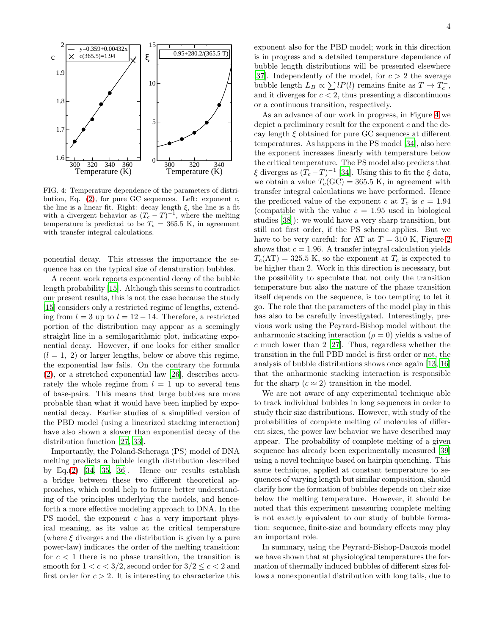

<span id="page-3-0"></span>FIG. 4: Temperature dependence of the parameters of distribution, Eq.  $(2)$ , for pure GC sequences. Left: exponent c, the line is a linear fit. Right: decay length  $\xi$ , the line is a fit with a divergent behavior as  $(T_c - T)^{-1}$ , where the melting temperature is predicted to be  $T_c = 365.5$  K, in agreement with transfer integral calculations.

ponential decay. This stresses the importance the sequence has on the typical size of denaturation bubbles.

A recent work reports exponential decay of the bubble length probability [\[15\]](#page-4-14). Although this seems to contradict our present results, this is not the case because the study [\[15\]](#page-4-14) considers only a restricted regime of lengths, extending from  $l = 3$  up to  $l = 12 - 14$ . Therefore, a restricted portion of the distribution may appear as a seemingly straight line in a semilogarithmic plot, indicating exponential decay. However, if one looks for either smaller  $(l = 1, 2)$  or larger lengths, below or above this regime, the exponential law fails. On the contrary the formula [\(2\)](#page-1-0), or a stretched exponential law [\[26\]](#page-4-25), describes accurately the whole regime from  $l = 1$  up to several tens of base-pairs. This means that large bubbles are more probable than what it would have been implied by exponential decay. Earlier studies of a simplified version of the PBD model (using a linearized stacking interaction) have also shown a slower than exponential decay of the distribution function [\[27](#page-4-26), [33](#page-4-32)].

Importantly, the Poland-Scheraga (PS) model of DNA melting predicts a bubble length distribution described by Eq.[\(2\)](#page-1-0) [\[34,](#page-4-33) [35,](#page-4-34) [36\]](#page-4-35). Hence our results establish a bridge between these two different theoretical approaches, which could help to future better understanding of the principles underlying the models, and henceforth a more effective modeling approach to DNA. In the PS model, the exponent  $c$  has a very important physical meaning, as its value at the critical temperature (where  $\xi$  diverges and the distribution is given by a pure power-law) indicates the order of the melting transition: for  $c < 1$  there is no phase transition, the transition is smooth for  $1 < c < 3/2$ , second order for  $3/2 < c < 2$  and first order for  $c > 2$ . It is interesting to characterize this

exponent also for the PBD model; work in this direction is in progress and a detailed temperature dependence of bubble length distributions will be presented elsewhere [\[37\]](#page-4-36). Independently of the model, for  $c > 2$  the average bubble length  $L_B \propto \sum lP(l)$  remains finite as  $T \to T_c^-$ , and it diverges for  $c < 2$ , thus presenting a discontinuous or a continuous transition, respectively.

As an advance of our work in progress, in Figure [4](#page-3-0) we depict a preliminary result for the exponent c and the decay length  $\xi$  obtained for pure GC sequences at different temperatures. As happens in the PS model [\[34\]](#page-4-33), also here the exponent increases linearly with temperature below the critical temperature. The PS model also predicts that  $\xi$  diverges as  $(T_c-T)^{-1}$  [\[34\]](#page-4-33). Using this to fit the  $\xi$  data, we obtain a value  $T_c(GC) = 365.5$  K, in agreement with transfer integral calculations we have performed. Hence the predicted value of the exponent c at  $T_c$  is  $c = 1.94$ (compatible with the value  $c = 1.95$  used in biological studies [\[38\]](#page-4-37)): we would have a very sharp transition, but still not first order, if the PS scheme applies. But we have to be very careful: for AT at  $T = 310$  K, Figure [2](#page-2-0) shows that  $c = 1.96$ . A transfer integral calculation yields  $T_c(\text{AT}) = 325.5 \text{ K}$ , so the exponent at  $T_c$  is expected to be higher than 2. Work in this direction is necessary, but the possibility to speculate that not only the transition temperature but also the nature of the phase transition itself depends on the sequence, is too tempting to let it go. The role that the parameters of the model play in this has also to be carefully investigated. Interestingly, previous work using the Peyrard-Bishop model without the anharmonic stacking interaction  $(\rho = 0)$  yields a value of  $c$  much lower than 2 [\[27\]](#page-4-26). Thus, regardless whether the transition in the full PBD model is first order or not, the analysis of bubble distributions shows once again [\[13,](#page-4-12) [16](#page-4-15)] that the anharmonic stacking interaction is responsible for the sharp  $(c \approx 2)$  transition in the model.

We are not aware of any experimental technique able to track individual bubbles in long sequences in order to study their size distributions. However, with study of the probabilities of complete melting of molecules of different sizes, the power law behavior we have described may appear. The probability of complete melting of a given sequence has already been experimentally measured [\[39](#page-4-38)] using a novel technique based on hairpin quenching. This same technique, applied at constant temperature to sequences of varying length but similar composition, should clarify how the formation of bubbles depends on their size below the melting temperature. However, it should be noted that this experiment measuring complete melting is not exactly equivalent to our study of bubble formation: sequence, finite-size and boundary effects may play an important role.

In summary, using the Peyrard-Bishop-Dauxois model we have shown that at physiological temperatures the formation of thermally induced bubbles of different sizes follows a nonexponential distribution with long tails, due to